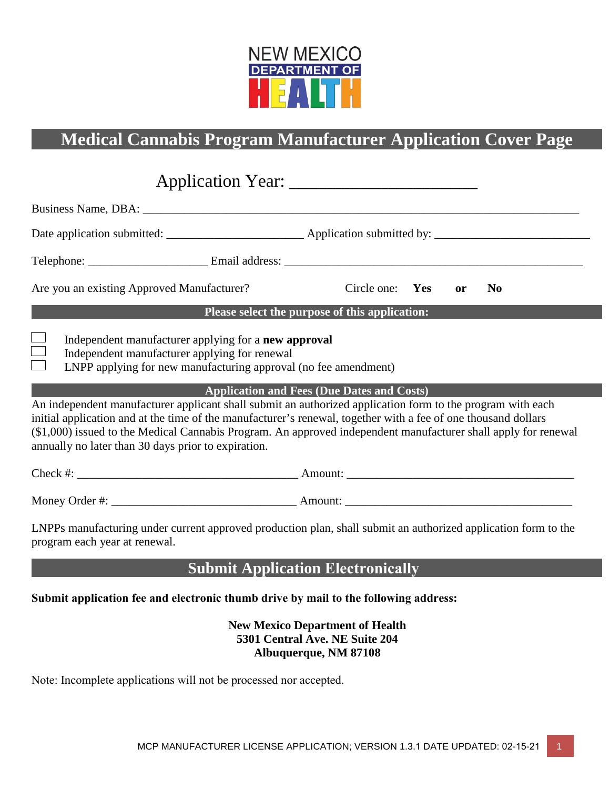

# **Medical Cannabis Program Manufacturer Application Cover Page**

| Are you an existing Approved Manufacturer?                                                                                                                                                                                                                                                                                                                                                            | Circle one: Yes                                   |  | <b>or</b> | N <sub>0</sub> |  |  |
|-------------------------------------------------------------------------------------------------------------------------------------------------------------------------------------------------------------------------------------------------------------------------------------------------------------------------------------------------------------------------------------------------------|---------------------------------------------------|--|-----------|----------------|--|--|
|                                                                                                                                                                                                                                                                                                                                                                                                       | Please select the purpose of this application:    |  |           |                |  |  |
| Independent manufacturer applying for a new approval<br>Independent manufacturer applying for renewal<br>LNPP applying for new manufacturing approval (no fee amendment)                                                                                                                                                                                                                              |                                                   |  |           |                |  |  |
| An independent manufacturer applicant shall submit an authorized application form to the program with each<br>initial application and at the time of the manufacturer's renewal, together with a fee of one thousand dollars<br>(\$1,000) issued to the Medical Cannabis Program. An approved independent manufacturer shall apply for renewal<br>annually no later than 30 days prior to expiration. | <b>Application and Fees (Due Dates and Costs)</b> |  |           |                |  |  |
|                                                                                                                                                                                                                                                                                                                                                                                                       |                                                   |  |           |                |  |  |
|                                                                                                                                                                                                                                                                                                                                                                                                       |                                                   |  |           |                |  |  |
| LNPPs manufacturing under current approved production plan, shall submit an authorized application form to the<br>program each year at renewal.                                                                                                                                                                                                                                                       |                                                   |  |           |                |  |  |
|                                                                                                                                                                                                                                                                                                                                                                                                       | <b>Submit Application Electronically</b>          |  |           |                |  |  |
| Submit application fee and electronic thumb drive by mail to the following address:                                                                                                                                                                                                                                                                                                                   |                                                   |  |           |                |  |  |

**New Mexico Department of Health 5301 Central Ave. NE Suite 204 Albuquerque, NM 87108**

Note: Incomplete applications will not be processed nor accepted.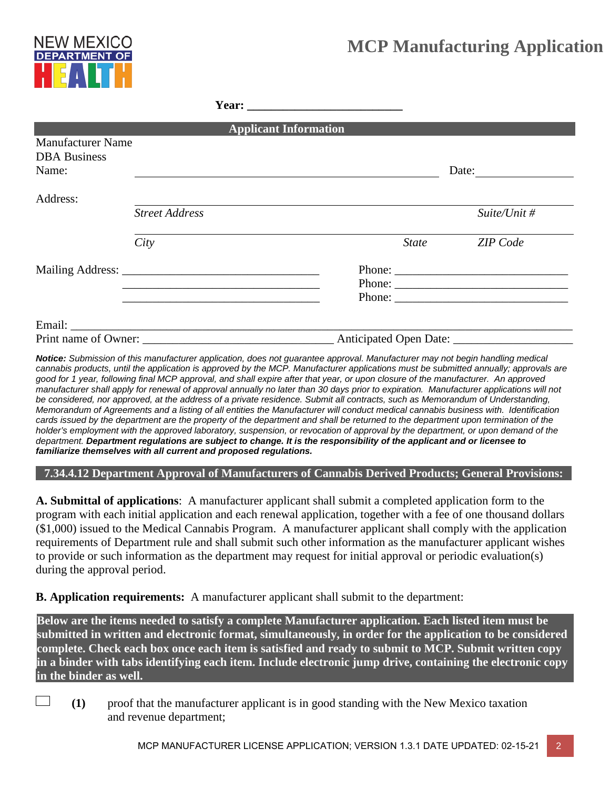# **MCP Manufacturing Application**



|                                                          |                       | <b>Applicant Information</b>                                                                                         |       |                                                                                                                                                                                                                                                                                                                                                                                                                        |
|----------------------------------------------------------|-----------------------|----------------------------------------------------------------------------------------------------------------------|-------|------------------------------------------------------------------------------------------------------------------------------------------------------------------------------------------------------------------------------------------------------------------------------------------------------------------------------------------------------------------------------------------------------------------------|
| <b>Manufacturer Name</b><br><b>DBA</b> Business<br>Name: |                       |                                                                                                                      |       | Date:                                                                                                                                                                                                                                                                                                                                                                                                                  |
| Address:                                                 | <b>Street Address</b> |                                                                                                                      |       | Suite/Unit #                                                                                                                                                                                                                                                                                                                                                                                                           |
|                                                          | City                  |                                                                                                                      | State | <b>ZIP</b> Code                                                                                                                                                                                                                                                                                                                                                                                                        |
|                                                          |                       | <u> 1989 - Andrea Santa Andrea Andrea Andrea Andrea Andrea Andrea Andrea Andrea Andrea Andrea Andrea Andrea Andr</u> |       | Phone: $\frac{1}{\sqrt{1-\frac{1}{2}}\sqrt{1-\frac{1}{2}}\sqrt{1-\frac{1}{2}}\sqrt{1-\frac{1}{2}}\sqrt{1-\frac{1}{2}}\sqrt{1-\frac{1}{2}}\sqrt{1-\frac{1}{2}}\sqrt{1-\frac{1}{2}}\sqrt{1-\frac{1}{2}}\sqrt{1-\frac{1}{2}}\sqrt{1-\frac{1}{2}}\sqrt{1-\frac{1}{2}}\sqrt{1-\frac{1}{2}}\sqrt{1-\frac{1}{2}}\sqrt{1-\frac{1}{2}}\sqrt{1-\frac{1}{2}}\sqrt{1-\frac{1}{2}}\sqrt{1-\frac{1}{2}}\sqrt{1-\frac{1}{2$<br>Phone: |
|                                                          |                       |                                                                                                                      |       |                                                                                                                                                                                                                                                                                                                                                                                                                        |

*Notice: Submission of this manufacturer application, does not guarantee approval. Manufacturer may not begin handling medical cannabis products, until the application is approved by the MCP. Manufacturer applications must be submitted annually; approvals are good for 1 year, following final MCP approval, and shall expire after that year, or upon closure of the manufacturer. An approved manufacturer shall apply for renewal of approval annually no later than 30 days prior to expiration. Manufacturer applications will not be considered, nor approved, at the address of a private residence. Submit all contracts, such as Memorandum of Understanding, Memorandum of Agreements and a listing of all entities the Manufacturer will conduct medical cannabis business with. Identification cards issued by the department are the property of the department and shall be returned to the department upon termination of the holder's employment with the approved laboratory, suspension, or revocation of approval by the department, or upon demand of the department. Department regulations are subject to change. It is the responsibility of the applicant and or licensee to familiarize themselves with all current and proposed regulations.* 

**7.34.4.12 Department Approval of Manufacturers of Cannabis Derived Products; General Provisions:** 

**A. Submittal of applications**: A manufacturer applicant shall submit a completed application form to the program with each initial application and each renewal application, together with a fee of one thousand dollars (\$1,000) issued to the Medical Cannabis Program. A manufacturer applicant shall comply with the application requirements of Department rule and shall submit such other information as the manufacturer applicant wishes to provide or such information as the department may request for initial approval or periodic evaluation(s) during the approval period.

**B. Application requirements:** A manufacturer applicant shall submit to the department:

**Below are the items needed to satisfy a complete Manufacturer application. Each listed item must be submitted in written and electronic format, simultaneously, in order for the application to be considered complete. Check each box once each item is satisfied and ready to submit to MCP. Submit written copy in a binder with tabs identifying each item. Include electronic jump drive, containing the electronic copy in the binder as well.**

**(1)** proof that the manufacturer applicant is in good standing with the New Mexico taxation and revenue department;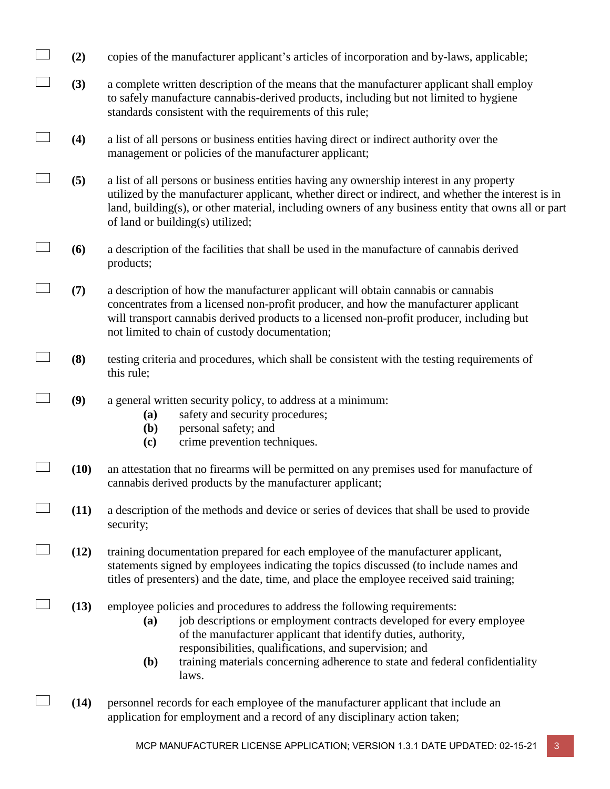- $\Box$ **(2)** copies of the manufacturer applicant's articles of incorporation and by-laws, applicable;
- $\Box$ **(3)** a complete written description of the means that the manufacturer applicant shall employ to safely manufacture cannabis-derived products, including but not limited to hygiene standards consistent with the requirements of this rule;
- $\Box$ **(4)** a list of all persons or business entities having direct or indirect authority over the management or policies of the manufacturer applicant;
- $\Box$ **(5)** a list of all persons or business entities having any ownership interest in any property utilized by the manufacturer applicant, whether direct or indirect, and whether the interest is in land, building(s), or other material, including owners of any business entity that owns all or part of land or building(s) utilized;
- $\Box$ **(6)** a description of the facilities that shall be used in the manufacture of cannabis derived products;
- $\Box$ **(7)** a description of how the manufacturer applicant will obtain cannabis or cannabis concentrates from a licensed non-profit producer, and how the manufacturer applicant will transport cannabis derived products to a licensed non-profit producer, including but not limited to chain of custody documentation;
- $\overline{\phantom{a}}$ **(8)** testing criteria and procedures, which shall be consistent with the testing requirements of this rule;
- $\Box$ **(9)** a general written security policy, to address at a minimum:
	- **(a)** safety and security procedures;
	- **(b)** personal safety; and
	- **(c)** crime prevention techniques.
- $\Box$ **(10)** an attestation that no firearms will be permitted on any premises used for manufacture of cannabis derived products by the manufacturer applicant;
- $\Box$ **(11)** a description of the methods and device or series of devices that shall be used to provide security;
- $\Box$ **(12)** training documentation prepared for each employee of the manufacturer applicant, statements signed by employees indicating the topics discussed (to include names and titles of presenters) and the date, time, and place the employee received said training;
- $\Box$ **(13)** employee policies and procedures to address the following requirements:
	- **(a)** job descriptions or employment contracts developed for every employee of the manufacturer applicant that identify duties, authority, responsibilities, qualifications, and supervision; and
	- **(b)** training materials concerning adherence to state and federal confidentiality laws.
- $\Box$ **(14)** personnel records for each employee of the manufacturer applicant that include an application for employment and a record of any disciplinary action taken;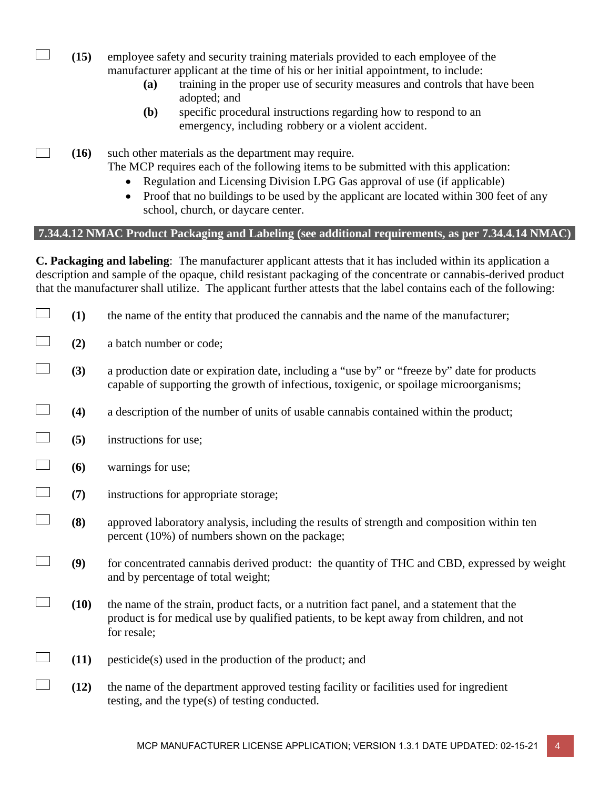- **(15)** employee safety and security training materials provided to each employee of the manufacturer applicant at the time of his or her initial appointment, to include:
	- **(a)** training in the proper use of security measures and controls that have been adopted; and
	- **(b)** specific procedural instructions regarding how to respond to an emergency, including robbery or a violent accident.

 $\Box$ **(16)** such other materials as the department may require. The MCP requires each of the following items to be submitted with this application:

- Regulation and Licensing Division LPG Gas approval of use (if applicable)
- Proof that no buildings to be used by the applicant are located within 300 feet of any school, church, or daycare center.

## **7.34.4.12 NMAC Product Packaging and Labeling (see additional requirements, as per 7.34.4.14 NMAC)**

**C. Packaging and labeling**: The manufacturer applicant attests that it has included within its application a description and sample of the opaque, child resistant packaging of the concentrate or cannabis-derived product that the manufacturer shall utilize. The applicant further attests that the label contains each of the following:

- $\Box$ **(1)** the name of the entity that produced the cannabis and the name of the manufacturer;
- $\overline{\phantom{a}}$ **(2)** a batch number or code;

 $\mathcal{L}(\mathcal{A})$ 

- $\overline{\phantom{a}}$ **(3)** a production date or expiration date, including a "use by" or "freeze by" date for products capable of supporting the growth of infectious, toxigenic, or spoilage microorganisms;
- $\overline{\phantom{a}}$ **(4)** a description of the number of units of usable cannabis contained within the product;
- $\Box$ **(5)** instructions for use;
- **(6)** warnings for use;
- $\overline{\phantom{a}}$ **(7)** instructions for appropriate storage;
- $\overline{\phantom{a}}$ **(8)** approved laboratory analysis, including the results of strength and composition within ten percent (10%) of numbers shown on the package;
- $\overline{\phantom{a}}$ **(9)** for concentrated cannabis derived product: the quantity of THC and CBD, expressed by weight and by percentage of total weight;
- $\mathcal{L}_{\mathcal{A}}$ **(10)** the name of the strain, product facts, or a nutrition fact panel, and a statement that the product is for medical use by qualified patients, to be kept away from children, and not for resale;
- $\Box$ **(11)** pesticide(s) used in the production of the product; and
- $\Box$ **(12)** the name of the department approved testing facility or facilities used for ingredient testing, and the type(s) of testing conducted.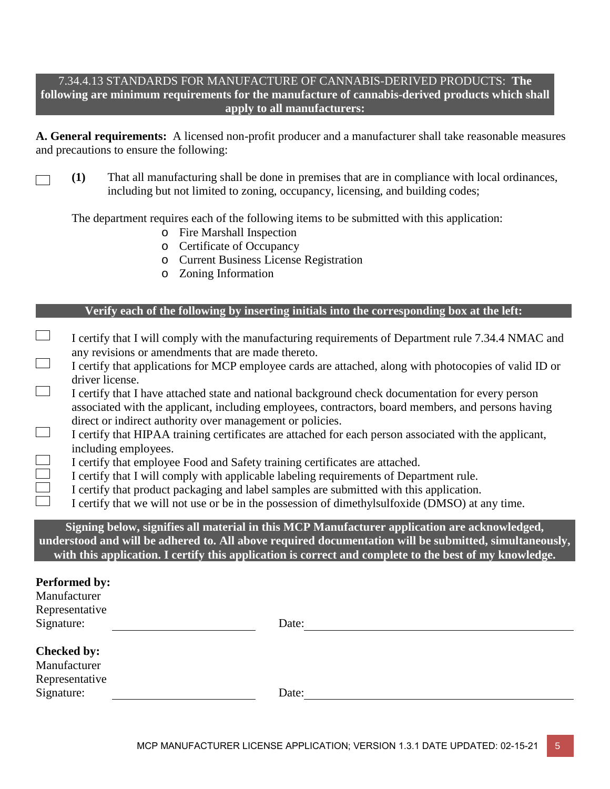## 7.34.4.13 STANDARDS FOR MANUFACTURE OF CANNABIS-DERIVED PRODUCTS: **The following are minimum requirements for the manufacture of cannabis-derived products which shall apply to all manufacturers:**

**A. General requirements:** A licensed non-profit producer and a manufacturer shall take reasonable measures and precautions to ensure the following:

**(1)** That all manufacturing shall be done in premises that are in compliance with local ordinances,  $\sqrt{2}$ including but not limited to zoning, occupancy, licensing, and building codes;

The department requires each of the following items to be submitted with this application:

- o Fire Marshall Inspection
- o Certificate of Occupancy
- o Current Business License Registration
- o Zoning Information

## **Verify each of the following by inserting initials into the corresponding box at the left:**

- $\Box$ I certify that I will comply with the manufacturing requirements of Department rule 7.34.4 NMAC and any revisions or amendments that are made thereto.
- $\Box$ I certify that applications for MCP employee cards are attached, along with photocopies of valid ID or driver license.
- $\Box$ I certify that I have attached state and national background check documentation for every person associated with the applicant, including employees, contractors, board members, and persons having direct or indirect authority over management or policies.
- $\overline{\phantom{a}}$ I certify that HIPAA training certificates are attached for each person associated with the applicant, including employees.
- I certify that employee Food and Safety training certificates are attached.
- I certify that I will comply with applicable labeling requirements of Department rule.
- $\overline{\Box}$ I certify that product packaging and label samples are submitted with this application.
	- I certify that we will not use or be in the possession of dimethylsulfoxide (DMSO) at any time.

**Signing below, signifies all material in this MCP Manufacturer application are acknowledged, understood and will be adhered to. All above required documentation will be submitted, simultaneously, with this application. I certify this application is correct and complete to the best of my knowledge.** 

#### **Performed by:**

Manufacturer Representative Signature: Date: Date:

## **Checked by:** Manufacturer Representative Signature: Date: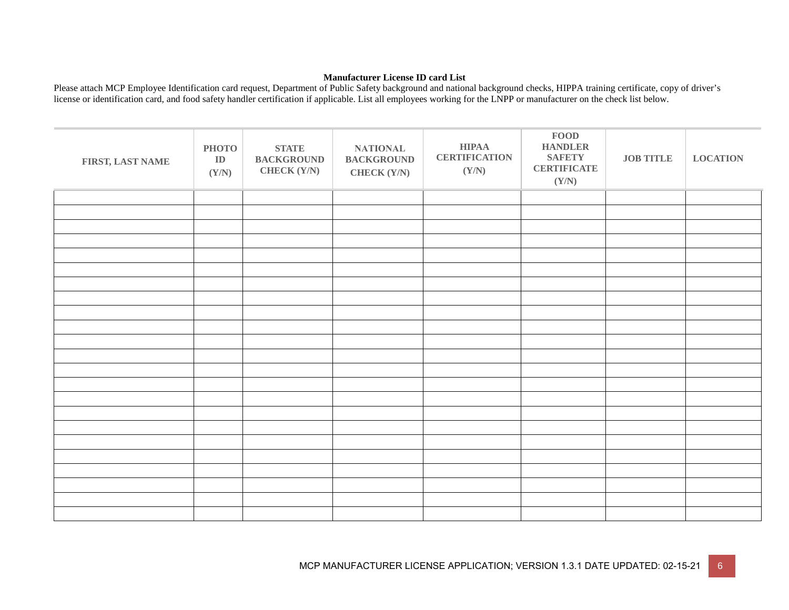#### **Manufacturer License ID card List**

Please attach MCP Employee Identification card request, Department of Public Safety background and national background checks, HIPPA training certificate, copy of driver's license or identification card, and food safety handler certification if applicable. List all employees working for the LNPP or manufacturer on the check list below.

| FIRST, LAST NAME | <b>PHOTO</b><br>${\bf ID}$<br>(Y/N) | <b>STATE</b><br><b>BACKGROUND</b><br><b>CHECK (Y/N)</b> | <b>NATIONAL</b><br><b>BACKGROUND</b><br><b>CHECK (Y/N)</b> | ${\bf HIPAA}$<br><b>CERTIFICATION</b><br>(Y/N) | ${\bf FOOD}$<br><b>HANDLER</b><br><b>SAFETY</b><br><b>CERTIFICATE</b><br>(Y/N) | <b>JOB TITLE</b> | <b>LOCATION</b> |
|------------------|-------------------------------------|---------------------------------------------------------|------------------------------------------------------------|------------------------------------------------|--------------------------------------------------------------------------------|------------------|-----------------|
|                  |                                     |                                                         |                                                            |                                                |                                                                                |                  |                 |
|                  |                                     |                                                         |                                                            |                                                |                                                                                |                  |                 |
|                  |                                     |                                                         |                                                            |                                                |                                                                                |                  |                 |
|                  |                                     |                                                         |                                                            |                                                |                                                                                |                  |                 |
|                  |                                     |                                                         |                                                            |                                                |                                                                                |                  |                 |
|                  |                                     |                                                         |                                                            |                                                |                                                                                |                  |                 |
|                  |                                     |                                                         |                                                            |                                                |                                                                                |                  |                 |
|                  |                                     |                                                         |                                                            |                                                |                                                                                |                  |                 |
|                  |                                     |                                                         |                                                            |                                                |                                                                                |                  |                 |
|                  |                                     |                                                         |                                                            |                                                |                                                                                |                  |                 |
|                  |                                     |                                                         |                                                            |                                                |                                                                                |                  |                 |
|                  |                                     |                                                         |                                                            |                                                |                                                                                |                  |                 |
|                  |                                     |                                                         |                                                            |                                                |                                                                                |                  |                 |
|                  |                                     |                                                         |                                                            |                                                |                                                                                |                  |                 |
|                  |                                     |                                                         |                                                            |                                                |                                                                                |                  |                 |
|                  |                                     |                                                         |                                                            |                                                |                                                                                |                  |                 |
|                  |                                     |                                                         |                                                            |                                                |                                                                                |                  |                 |
|                  |                                     |                                                         |                                                            |                                                |                                                                                |                  |                 |
|                  |                                     |                                                         |                                                            |                                                |                                                                                |                  |                 |
|                  |                                     |                                                         |                                                            |                                                |                                                                                |                  |                 |
|                  |                                     |                                                         |                                                            |                                                |                                                                                |                  |                 |
|                  |                                     |                                                         |                                                            |                                                |                                                                                |                  |                 |
|                  |                                     |                                                         |                                                            |                                                |                                                                                |                  |                 |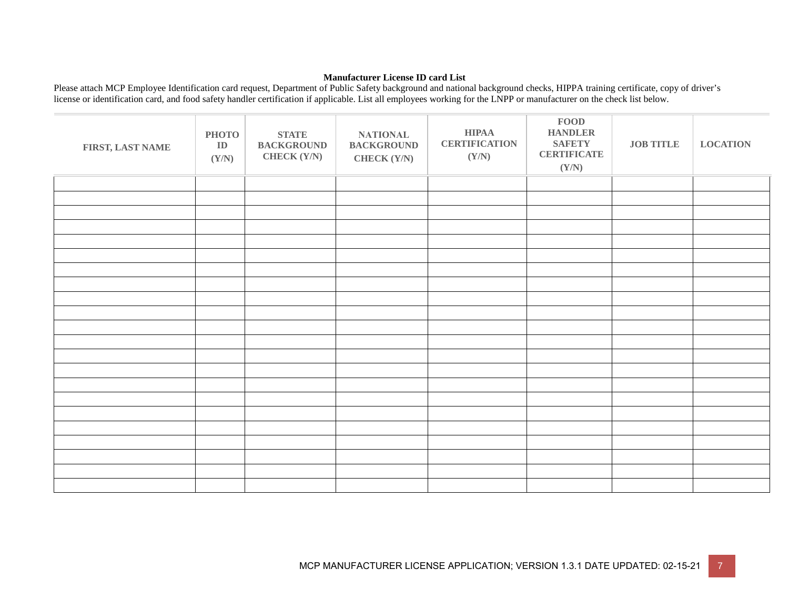#### **Manufacturer License ID card List**

Please attach MCP Employee Identification card request, Department of Public Safety background and national background checks, HIPPA training certificate, copy of driver's license or identification card, and food safety handler certification if applicable. List all employees working for the LNPP or manufacturer on the check list below.

| FIRST, LAST NAME | <b>PHOTO</b><br>${\bf ID}$<br>(Y/N) | <b>STATE</b><br><b>BACKGROUND</b><br><b>CHECK (Y/N)</b> | <b>NATIONAL</b><br><b>BACKGROUND</b><br><b>CHECK (Y/N)</b> | <b>HIPAA</b><br><b>CERTIFICATION</b><br>(Y/N) | <b>FOOD</b><br><b>HANDLER</b><br><b>SAFETY</b><br><b>CERTIFICATE</b><br>(Y/N) | <b>JOB TITLE</b> | <b>LOCATION</b> |
|------------------|-------------------------------------|---------------------------------------------------------|------------------------------------------------------------|-----------------------------------------------|-------------------------------------------------------------------------------|------------------|-----------------|
|                  |                                     |                                                         |                                                            |                                               |                                                                               |                  |                 |
|                  |                                     |                                                         |                                                            |                                               |                                                                               |                  |                 |
|                  |                                     |                                                         |                                                            |                                               |                                                                               |                  |                 |
|                  |                                     |                                                         |                                                            |                                               |                                                                               |                  |                 |
|                  |                                     |                                                         |                                                            |                                               |                                                                               |                  |                 |
|                  |                                     |                                                         |                                                            |                                               |                                                                               |                  |                 |
|                  |                                     |                                                         |                                                            |                                               |                                                                               |                  |                 |
|                  |                                     |                                                         |                                                            |                                               |                                                                               |                  |                 |
|                  |                                     |                                                         |                                                            |                                               |                                                                               |                  |                 |
|                  |                                     |                                                         |                                                            |                                               |                                                                               |                  |                 |
|                  |                                     |                                                         |                                                            |                                               |                                                                               |                  |                 |
|                  |                                     |                                                         |                                                            |                                               |                                                                               |                  |                 |
|                  |                                     |                                                         |                                                            |                                               |                                                                               |                  |                 |
|                  |                                     |                                                         |                                                            |                                               |                                                                               |                  |                 |
|                  |                                     |                                                         |                                                            |                                               |                                                                               |                  |                 |
|                  |                                     |                                                         |                                                            |                                               |                                                                               |                  |                 |
|                  |                                     |                                                         |                                                            |                                               |                                                                               |                  |                 |
|                  |                                     |                                                         |                                                            |                                               |                                                                               |                  |                 |
|                  |                                     |                                                         |                                                            |                                               |                                                                               |                  |                 |
|                  |                                     |                                                         |                                                            |                                               |                                                                               |                  |                 |
|                  |                                     |                                                         |                                                            |                                               |                                                                               |                  |                 |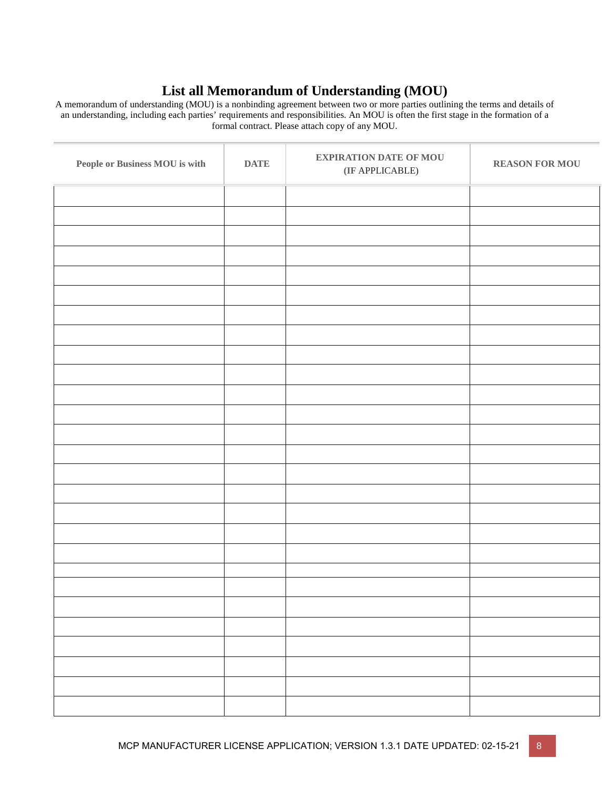## **List all Memorandum of Understanding (MOU)**

A memorandum of understanding (MOU) is a nonbinding agreement between two or more parties outlining the terms and details of an understanding, including each parties' requirements and responsibilities. An MOU is often the first stage in the formation of a formal contract. Please attach copy of any MOU.

| People or Business MOU is with | <b>DATE</b> | <b>EXPIRATION DATE OF MOU</b><br>$(\rm IF$ APPLICABLE) | <b>REASON FOR MOU</b> |
|--------------------------------|-------------|--------------------------------------------------------|-----------------------|
|                                |             |                                                        |                       |
|                                |             |                                                        |                       |
|                                |             |                                                        |                       |
|                                |             |                                                        |                       |
|                                |             |                                                        |                       |
|                                |             |                                                        |                       |
|                                |             |                                                        |                       |
|                                |             |                                                        |                       |
|                                |             |                                                        |                       |
|                                |             |                                                        |                       |
|                                |             |                                                        |                       |
|                                |             |                                                        |                       |
|                                |             |                                                        |                       |
|                                |             |                                                        |                       |
|                                |             |                                                        |                       |
|                                |             |                                                        |                       |
|                                |             |                                                        |                       |
|                                |             |                                                        |                       |
|                                |             |                                                        |                       |
|                                |             |                                                        |                       |
|                                |             |                                                        |                       |
|                                |             |                                                        |                       |
|                                |             |                                                        |                       |
|                                |             |                                                        |                       |
|                                |             |                                                        |                       |
|                                |             |                                                        |                       |
|                                |             |                                                        |                       |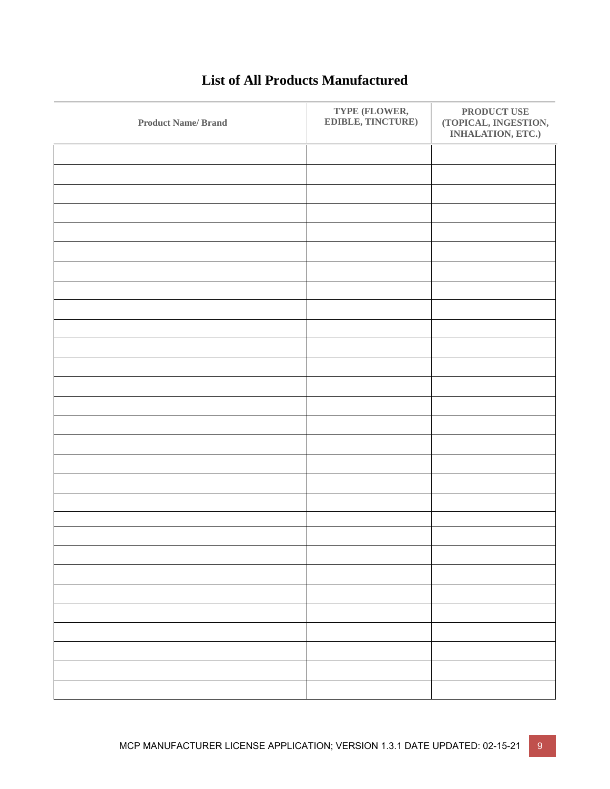| <b>Product Name/Brand</b> | TYPE (FLOWER,<br>EDIBLE, TINCTURE) | PRODUCT USE<br>(TOPICAL, INGESTION,<br>INHALATION, ETC.) |
|---------------------------|------------------------------------|----------------------------------------------------------|
|                           |                                    |                                                          |
|                           |                                    |                                                          |
|                           |                                    |                                                          |
|                           |                                    |                                                          |
|                           |                                    |                                                          |
|                           |                                    |                                                          |
|                           |                                    |                                                          |
|                           |                                    |                                                          |
|                           |                                    |                                                          |
|                           |                                    |                                                          |
|                           |                                    |                                                          |
|                           |                                    |                                                          |
|                           |                                    |                                                          |
|                           |                                    |                                                          |
|                           |                                    |                                                          |
|                           |                                    |                                                          |
|                           |                                    |                                                          |
|                           |                                    |                                                          |
|                           |                                    |                                                          |
|                           |                                    |                                                          |
|                           |                                    |                                                          |
|                           |                                    |                                                          |
|                           |                                    |                                                          |
|                           |                                    |                                                          |
|                           |                                    |                                                          |
|                           |                                    |                                                          |
|                           |                                    |                                                          |
|                           |                                    |                                                          |
|                           |                                    |                                                          |

## **List of All Products Manufactured**